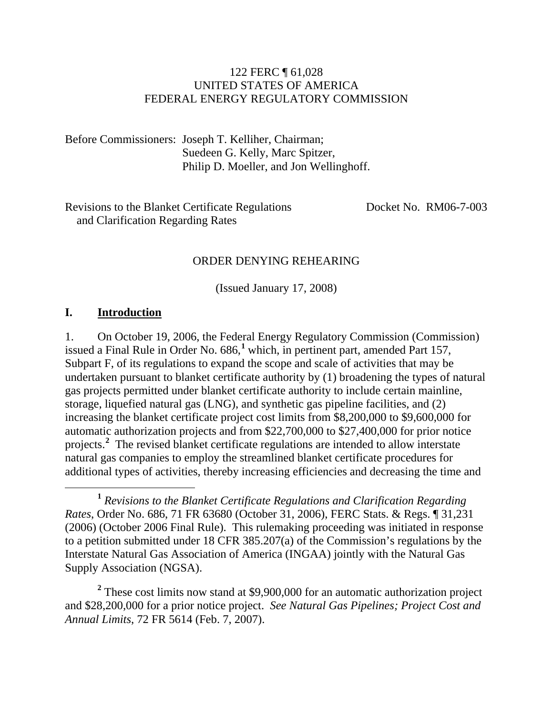### 122 FERC ¶ 61,028 UNITED STATES OF AMERICA FEDERAL ENERGY REGULATORY COMMISSION

Before Commissioners: Joseph T. Kelliher, Chairman; Suedeen G. Kelly, Marc Spitzer, Philip D. Moeller, and Jon Wellinghoff.

Revisions to the Blanket Certificate Regulations Docket No. RM06-7-003 and Clarification Regarding Rates

#### ORDER DENYING REHEARING

(Issued January 17, 2008)

#### **I. Introduction**

1. On October 19, 2006, the Federal Energy Regulatory Commission (Commission) issued a Final Rule in Order No. 686,<sup>1</sup> which, in pertinent part, amended Part 157, Subpart F, of its regulations to expand the scope and scale of activities that may be undertaken pursuant to blanket certificate authority by (1) broadening the types of natural gas projects permitted under blanket certificate authority to include certain mainline, storage, liquefied natural gas (LNG), and synthetic gas pipeline facilities, and (2) increasing the blanket certificate project cost limits from \$8,200,000 to \$9,600,000 for automatic authorization projects and from \$22,700,000 to \$27,400,000 for prior notice projects.**<sup>2</sup>** The revised blanket certificate regulations are intended to allow interstate natural gas companies to employ the streamlined blanket certificate procedures for additional types of activities, thereby increasing efficiencies and decreasing the time and

 **<sup>1</sup>** *Revisions to the Blanket Certificate Regulations and Clarification Regarding Rates*, Order No. 686, 71 FR 63680 (October 31, 2006), FERC Stats. & Regs. ¶ 31,231 (2006) (October 2006 Final Rule). This rulemaking proceeding was initiated in response to a petition submitted under 18 CFR 385.207(a) of the Commission's regulations by the Interstate Natural Gas Association of America (INGAA) jointly with the Natural Gas Supply Association (NGSA).

<sup>2</sup> These cost limits now stand at \$9,900,000 for an automatic authorization project and \$28,200,000 for a prior notice project. *See Natural Gas Pipelines; Project Cost and Annual Limits*, 72 FR 5614 (Feb. 7, 2007).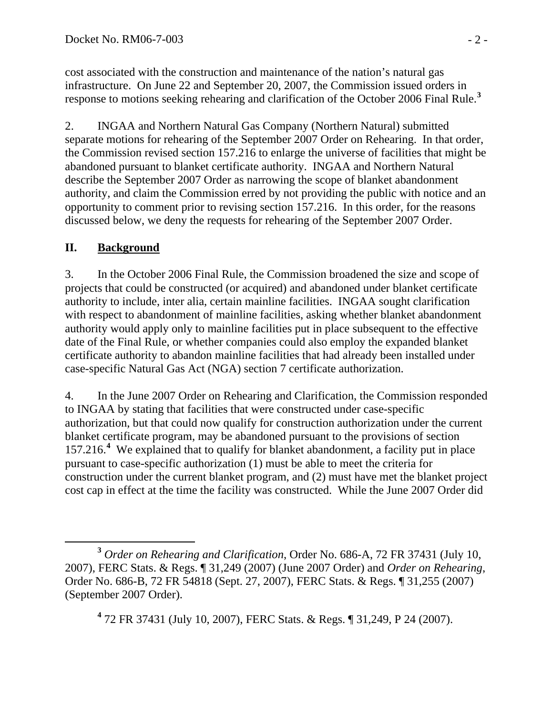cost associated with the construction and maintenance of the nation's natural gas infrastructure. On June 22 and September 20, 2007, the Commission issued orders in response to motions seeking rehearing and clarification of the October 2006 Final Rule.**<sup>3</sup>**

2. INGAA and Northern Natural Gas Company (Northern Natural) submitted separate motions for rehearing of the September 2007 Order on Rehearing. In that order, the Commission revised section 157.216 to enlarge the universe of facilities that might be abandoned pursuant to blanket certificate authority. INGAA and Northern Natural describe the September 2007 Order as narrowing the scope of blanket abandonment authority, and claim the Commission erred by not providing the public with notice and an opportunity to comment prior to revising section 157.216. In this order, for the reasons discussed below, we deny the requests for rehearing of the September 2007 Order.

# **II. Background**

3. In the October 2006 Final Rule, the Commission broadened the size and scope of projects that could be constructed (or acquired) and abandoned under blanket certificate authority to include, inter alia, certain mainline facilities. INGAA sought clarification with respect to abandonment of mainline facilities, asking whether blanket abandonment authority would apply only to mainline facilities put in place subsequent to the effective date of the Final Rule, or whether companies could also employ the expanded blanket certificate authority to abandon mainline facilities that had already been installed under case-specific Natural Gas Act (NGA) section 7 certificate authorization.

4. In the June 2007 Order on Rehearing and Clarification, the Commission responded to INGAA by stating that facilities that were constructed under case-specific authorization, but that could now qualify for construction authorization under the current blanket certificate program, may be abandoned pursuant to the provisions of section 157.216.**<sup>4</sup>** We explained that to qualify for blanket abandonment, a facility put in place pursuant to case-specific authorization (1) must be able to meet the criteria for construction under the current blanket program, and (2) must have met the blanket project cost cap in effect at the time the facility was constructed. While the June 2007 Order did

**4** 72 FR 37431 (July 10, 2007), FERC Stats. & Regs. ¶ 31,249, P 24 (2007).

**<sup>3</sup>** *Order on Rehearing and Clarification*, Order No. 686-A, 72 FR 37431 (July 10, 2007), FERC Stats. & Regs. ¶ 31,249 (2007) (June 2007 Order) and *Order on Rehearing*, Order No. 686-B, 72 FR 54818 (Sept. 27, 2007), FERC Stats. & Regs. ¶ 31,255 (2007) (September 2007 Order).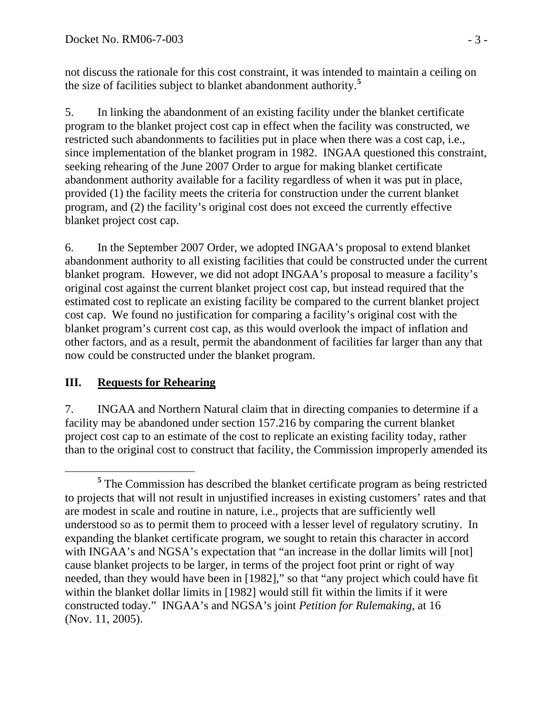not discuss the rationale for this cost constraint, it was intended to maintain a ceiling on the size of facilities subject to blanket abandonment authority.**<sup>5</sup>**

5. In linking the abandonment of an existing facility under the blanket certificate program to the blanket project cost cap in effect when the facility was constructed, we restricted such abandonments to facilities put in place when there was a cost cap, i.e., since implementation of the blanket program in 1982. INGAA questioned this constraint, seeking rehearing of the June 2007 Order to argue for making blanket certificate abandonment authority available for a facility regardless of when it was put in place, provided (1) the facility meets the criteria for construction under the current blanket program, and (2) the facility's original cost does not exceed the currently effective blanket project cost cap.

6. In the September 2007 Order, we adopted INGAA's proposal to extend blanket abandonment authority to all existing facilities that could be constructed under the current blanket program. However, we did not adopt INGAA's proposal to measure a facility's original cost against the current blanket project cost cap, but instead required that the estimated cost to replicate an existing facility be compared to the current blanket project cost cap. We found no justification for comparing a facility's original cost with the blanket program's current cost cap, as this would overlook the impact of inflation and other factors, and as a result, permit the abandonment of facilities far larger than any that now could be constructed under the blanket program.

## **III. Requests for Rehearing**

7. INGAA and Northern Natural claim that in directing companies to determine if a facility may be abandoned under section 157.216 by comparing the current blanket project cost cap to an estimate of the cost to replicate an existing facility today, rather than to the original cost to construct that facility, the Commission improperly amended its

**<sup>5</sup>** <sup>5</sup> The Commission has described the blanket certificate program as being restricted to projects that will not result in unjustified increases in existing customers' rates and that are modest in scale and routine in nature, i.e., projects that are sufficiently well understood so as to permit them to proceed with a lesser level of regulatory scrutiny. In expanding the blanket certificate program, we sought to retain this character in accord with INGAA's and NGSA's expectation that "an increase in the dollar limits will [not] cause blanket projects to be larger, in terms of the project foot print or right of way needed, than they would have been in [1982]," so that "any project which could have fit within the blanket dollar limits in [1982] would still fit within the limits if it were constructed today." INGAA's and NGSA's joint *Petition for Rulemaking*, at 16 (Nov. 11, 2005).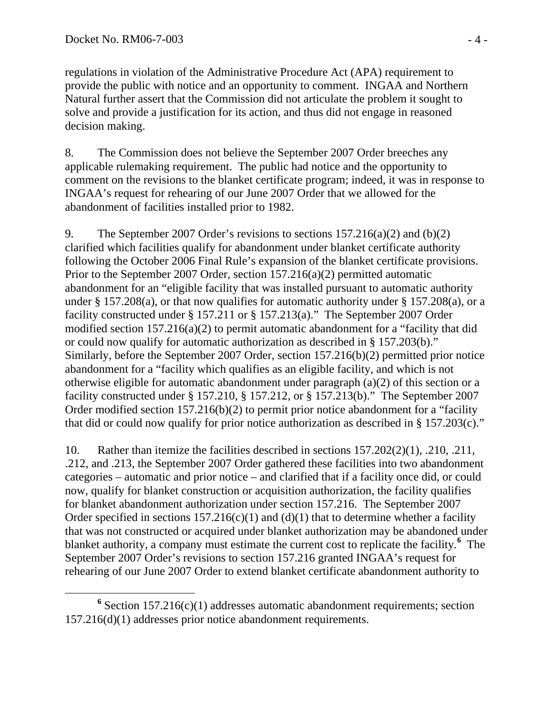regulations in violation of the Administrative Procedure Act (APA) requirement to provide the public with notice and an opportunity to comment. INGAA and Northern Natural further assert that the Commission did not articulate the problem it sought to solve and provide a justification for its action, and thus did not engage in reasoned decision making.

8. The Commission does not believe the September 2007 Order breeches any applicable rulemaking requirement. The public had notice and the opportunity to comment on the revisions to the blanket certificate program; indeed, it was in response to INGAA's request for rehearing of our June 2007 Order that we allowed for the abandonment of facilities installed prior to 1982.

9. The September 2007 Order's revisions to sections 157.216(a)(2) and (b)(2) clarified which facilities qualify for abandonment under blanket certificate authority following the October 2006 Final Rule's expansion of the blanket certificate provisions. Prior to the September 2007 Order, section 157.216(a)(2) permitted automatic abandonment for an "eligible facility that was installed pursuant to automatic authority under § 157.208(a), or that now qualifies for automatic authority under § 157.208(a), or a facility constructed under § 157.211 or § 157.213(a)." The September 2007 Order modified section 157.216(a)(2) to permit automatic abandonment for a "facility that did or could now qualify for automatic authorization as described in § 157.203(b)." Similarly, before the September 2007 Order, section 157.216(b)(2) permitted prior notice abandonment for a "facility which qualifies as an eligible facility, and which is not otherwise eligible for automatic abandonment under paragraph (a)(2) of this section or a facility constructed under § 157.210, § 157.212, or § 157.213(b)." The September 2007 Order modified section 157.216(b)(2) to permit prior notice abandonment for a "facility that did or could now qualify for prior notice authorization as described in § 157.203(c)."

10. Rather than itemize the facilities described in sections 157.202(2)(1), .210, .211, .212, and .213, the September 2007 Order gathered these facilities into two abandonment categories – automatic and prior notice – and clarified that if a facility once did, or could now, qualify for blanket construction or acquisition authorization, the facility qualifies for blanket abandonment authorization under section 157.216. The September 2007 Order specified in sections  $157.216(c)(1)$  and  $(d)(1)$  that to determine whether a facility that was not constructed or acquired under blanket authorization may be abandoned under blanket authority, a company must estimate the current cost to replicate the facility.**<sup>6</sup>** The September 2007 Order's revisions to section 157.216 granted INGAA's request for rehearing of our June 2007 Order to extend blanket certificate abandonment authority to

**<sup>6</sup>**  $6$  Section 157.216(c)(1) addresses automatic abandonment requirements; section 157.216(d)(1) addresses prior notice abandonment requirements.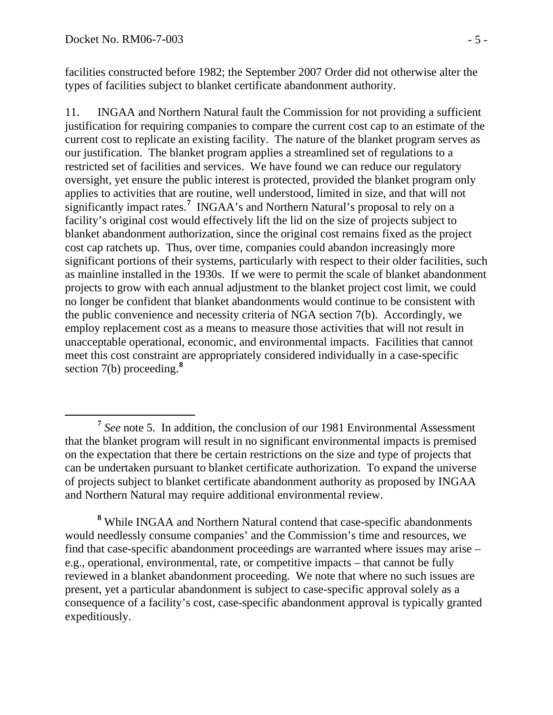facilities constructed before 1982; the September 2007 Order did not otherwise alter the types of facilities subject to blanket certificate abandonment authority.

11. INGAA and Northern Natural fault the Commission for not providing a sufficient justification for requiring companies to compare the current cost cap to an estimate of the current cost to replicate an existing facility. The nature of the blanket program serves as our justification. The blanket program applies a streamlined set of regulations to a restricted set of facilities and services. We have found we can reduce our regulatory oversight, yet ensure the public interest is protected, provided the blanket program only applies to activities that are routine, well understood, limited in size, and that will not significantly impact rates.**<sup>7</sup>** INGAA's and Northern Natural's proposal to rely on a facility's original cost would effectively lift the lid on the size of projects subject to blanket abandonment authorization, since the original cost remains fixed as the project cost cap ratchets up. Thus, over time, companies could abandon increasingly more significant portions of their systems, particularly with respect to their older facilities, such as mainline installed in the 1930s. If we were to permit the scale of blanket abandonment projects to grow with each annual adjustment to the blanket project cost limit, we could no longer be confident that blanket abandonments would continue to be consistent with the public convenience and necessity criteria of NGA section 7(b). Accordingly, we employ replacement cost as a means to measure those activities that will not result in unacceptable operational, economic, and environmental impacts. Facilities that cannot meet this cost constraint are appropriately considered individually in a case-specific section 7(b) proceeding.**<sup>8</sup>**

**<sup>7</sup>** *See* note 5. In addition, the conclusion of our 1981 Environmental Assessment that the blanket program will result in no significant environmental impacts is premised on the expectation that there be certain restrictions on the size and type of projects that can be undertaken pursuant to blanket certificate authorization. To expand the universe of projects subject to blanket certificate abandonment authority as proposed by INGAA and Northern Natural may require additional environmental review.

**<sup>8</sup>** While INGAA and Northern Natural contend that case-specific abandonments would needlessly consume companies' and the Commission's time and resources, we find that case-specific abandonment proceedings are warranted where issues may arise – e.g., operational, environmental, rate, or competitive impacts – that cannot be fully reviewed in a blanket abandonment proceeding. We note that where no such issues are present, yet a particular abandonment is subject to case-specific approval solely as a consequence of a facility's cost, case-specific abandonment approval is typically granted expeditiously.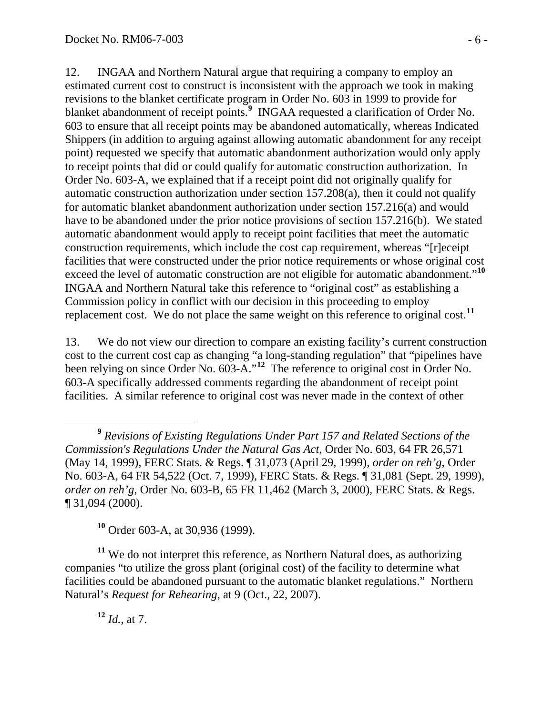12. INGAA and Northern Natural argue that requiring a company to employ an estimated current cost to construct is inconsistent with the approach we took in making revisions to the blanket certificate program in Order No. 603 in 1999 to provide for blanket abandonment of receipt points.<sup>9</sup> INGAA requested a clarification of Order No. 603 to ensure that all receipt points may be abandoned automatically, whereas Indicated Shippers (in addition to arguing against allowing automatic abandonment for any receipt point) requested we specify that automatic abandonment authorization would only apply to receipt points that did or could qualify for automatic construction authorization. In Order No. 603-A, we explained that if a receipt point did not originally qualify for automatic construction authorization under section 157.208(a), then it could not qualify for automatic blanket abandonment authorization under section 157.216(a) and would have to be abandoned under the prior notice provisions of section 157.216(b). We stated automatic abandonment would apply to receipt point facilities that meet the automatic construction requirements, which include the cost cap requirement, whereas "[r]eceipt facilities that were constructed under the prior notice requirements or whose original cost exceed the level of automatic construction are not eligible for automatic abandonment."**<sup>10</sup>** INGAA and Northern Natural take this reference to "original cost" as establishing a Commission policy in conflict with our decision in this proceeding to employ replacement cost. We do not place the same weight on this reference to original cost.**<sup>11</sup>**

13. We do not view our direction to compare an existing facility's current construction cost to the current cost cap as changing "a long-standing regulation" that "pipelines have been relying on since Order No. 603-A."**<sup>12</sup>** The reference to original cost in Order No. 603-A specifically addressed comments regarding the abandonment of receipt point facilities. A similar reference to original cost was never made in the context of other

**<sup>10</sup>** Order 603-A, at 30,936 (1999).

**<sup>11</sup>** We do not interpret this reference, as Northern Natural does, as authorizing companies "to utilize the gross plant (original cost) of the facility to determine what facilities could be abandoned pursuant to the automatic blanket regulations." Northern Natural's *Request for Rehearing*, at 9 (Oct., 22, 2007).

**<sup>12</sup>** *Id.*, at 7.

**<sup>9</sup>** *Revisions of Existing Regulations Under Part 157 and Related Sections of the Commission's Regulations Under the Natural Gas Act*, Order No. 603, 64 FR 26,571 (May 14, 1999), FERC Stats. & Regs. ¶ 31,073 (April 29, 1999), *order on reh'g*, Order No. 603-A, 64 FR 54,522 (Oct. 7, 1999), FERC Stats. & Regs. ¶ 31,081 (Sept. 29, 1999), *order on reh'g*, Order No. 603-B, 65 FR 11,462 (March 3, 2000), FERC Stats. & Regs. ¶ 31,094 (2000).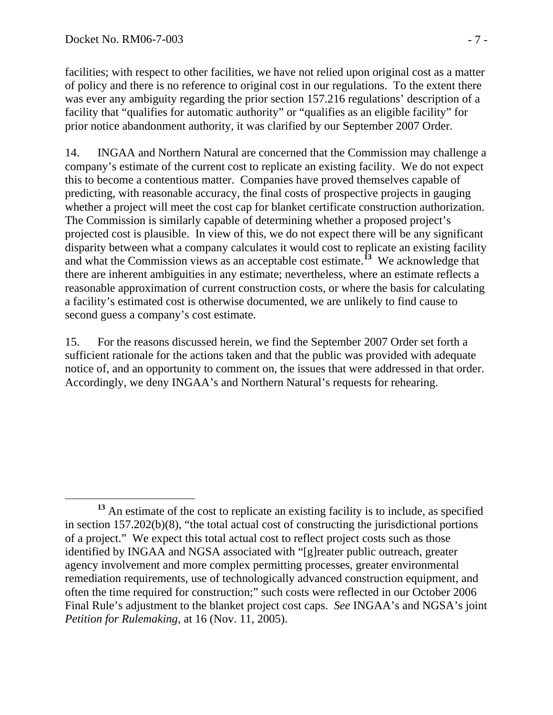facilities; with respect to other facilities, we have not relied upon original cost as a matter of policy and there is no reference to original cost in our regulations. To the extent there was ever any ambiguity regarding the prior section 157.216 regulations' description of a facility that "qualifies for automatic authority" or "qualifies as an eligible facility" for prior notice abandonment authority, it was clarified by our September 2007 Order.

14. INGAA and Northern Natural are concerned that the Commission may challenge a company's estimate of the current cost to replicate an existing facility. We do not expect this to become a contentious matter. Companies have proved themselves capable of predicting, with reasonable accuracy, the final costs of prospective projects in gauging whether a project will meet the cost cap for blanket certificate construction authorization. The Commission is similarly capable of determining whether a proposed project's projected cost is plausible. In view of this, we do not expect there will be any significant disparity between what a company calculates it would cost to replicate an existing facility and what the Commission views as an acceptable cost estimate.<sup>13</sup> We acknowledge that there are inherent ambiguities in any estimate; nevertheless, where an estimate reflects a reasonable approximation of current construction costs, or where the basis for calculating a facility's estimated cost is otherwise documented, we are unlikely to find cause to second guess a company's cost estimate.

15. For the reasons discussed herein, we find the September 2007 Order set forth a sufficient rationale for the actions taken and that the public was provided with adequate notice of, and an opportunity to comment on, the issues that were addressed in that order. Accordingly, we deny INGAA's and Northern Natural's requests for rehearing.

**<sup>13</sup>** An estimate of the cost to replicate an existing facility is to include, as specified in section 157.202(b)(8), "the total actual cost of constructing the jurisdictional portions of a project." We expect this total actual cost to reflect project costs such as those identified by INGAA and NGSA associated with "[g]reater public outreach, greater agency involvement and more complex permitting processes, greater environmental remediation requirements, use of technologically advanced construction equipment, and often the time required for construction;" such costs were reflected in our October 2006 Final Rule's adjustment to the blanket project cost caps. *See* INGAA's and NGSA's joint *Petition for Rulemaking*, at 16 (Nov. 11, 2005).